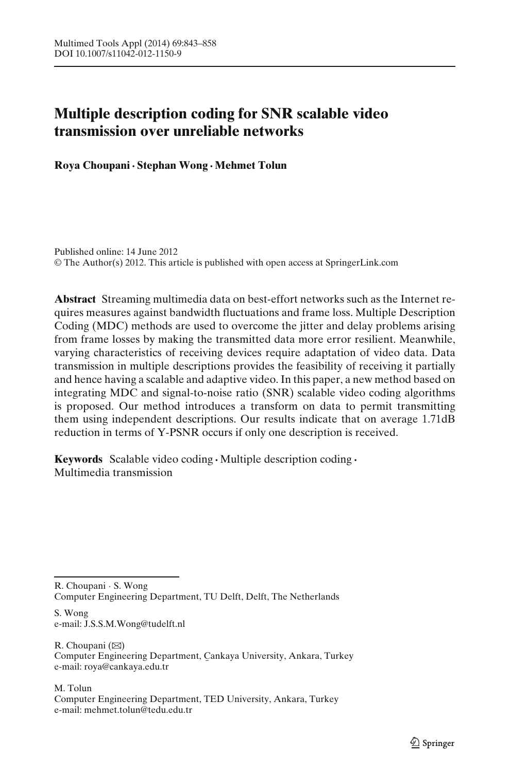# **Multiple description coding for SNR scalable video transmission over unreliable networks**

**Roya Choupani· Stephan Wong · Mehmet Tolun**

Published online: 14 June 2012 © The Author(s) 2012. This article is published with open access at SpringerLink.com

**Abstract** Streaming multimedia data on best-effort networks such as the Internet requires measures against bandwidth fluctuations and frame loss. Multiple Description Coding (MDC) methods are used to overcome the jitter and delay problems arising from frame losses by making the transmitted data more error resilient. Meanwhile, varying characteristics of receiving devices require adaptation of video data. Data transmission in multiple descriptions provides the feasibility of receiving it partially and hence having a scalable and adaptive video. In this paper, a new method based on integrating MDC and signal-to-noise ratio (SNR) scalable video coding algorithms is proposed. Our method introduces a transform on data to permit transmitting them using independent descriptions. Our results indicate that on average 1.71dB reduction in terms of Y-PSNR occurs if only one description is received.

**Keywords** Scalable video coding **·** Multiple description coding **·** Multimedia transmission

R. Choupani · S. Wong Computer Engineering Department, TU Delft, Delft, The Netherlands

S. Wong e-mail: J.S.S.M.Wong@tudelft.nl

R. Choupani  $(\boxtimes)$ Computer Engineering Department, Cankaya University, Ankara, Turkey<br>e-mail: roya@cankaya edu tr e-mail: roya@cankaya.edu.tr

M. Tolun Computer Engineering Department, TED University, Ankara, Turkey e-mail: mehmet.tolun@tedu.edu.tr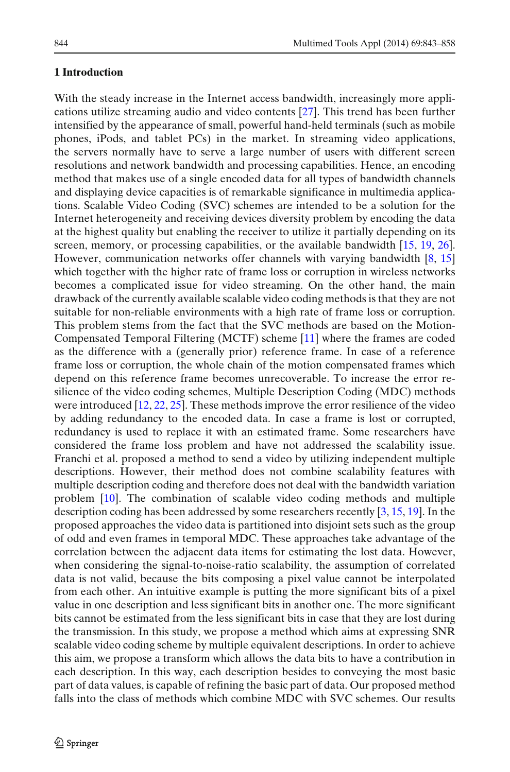# **1 Introduction**

With the steady increase in the Internet access bandwidth, increasingly more applications utilize streaming audio and video contents [\[27](#page-14-0)]. This trend has been further intensified by the appearance of small, powerful hand-held terminals (such as mobile phones, iPods, and tablet PCs) in the market. In streaming video applications, the servers normally have to serve a large number of users with different screen resolutions and network bandwidth and processing capabilities. Hence, an encoding method that makes use of a single encoded data for all types of bandwidth channels and displaying device capacities is of remarkable significance in multimedia applications. Scalable Video Coding (SVC) schemes are intended to be a solution for the Internet heterogeneity and receiving devices diversity problem by encoding the data at the highest quality but enabling the receiver to utilize it partially depending on its screen, memory, or processing capabilities, or the available bandwidth [\[15](#page-13-0), [19](#page-13-0), [26](#page-14-0)]. However, communication networks offer channels with varying bandwidth [\[8,](#page-13-0) [15](#page-13-0)] which together with the higher rate of frame loss or corruption in wireless networks becomes a complicated issue for video streaming. On the other hand, the main drawback of the currently available scalable video coding methods is that they are not suitable for non-reliable environments with a high rate of frame loss or corruption. This problem stems from the fact that the SVC methods are based on the Motion-Compensated Temporal Filtering (MCTF) scheme [\[11\]](#page-13-0) where the frames are coded as the difference with a (generally prior) reference frame. In case of a reference frame loss or corruption, the whole chain of the motion compensated frames which depend on this reference frame becomes unrecoverable. To increase the error resilience of the video coding schemes, Multiple Description Coding (MDC) methods were introduced [\[12](#page-13-0), [22](#page-14-0), [25](#page-14-0)]. These methods improve the error resilience of the video by adding redundancy to the encoded data. In case a frame is lost or corrupted, redundancy is used to replace it with an estimated frame. Some researchers have considered the frame loss problem and have not addressed the scalability issue. Franchi et al. proposed a method to send a video by utilizing independent multiple descriptions. However, their method does not combine scalability features with multiple description coding and therefore does not deal with the bandwidth variation problem [\[10](#page-13-0)]. The combination of scalable video coding methods and multiple description coding has been addressed by some researchers recently [\[3](#page-13-0), [15,](#page-13-0) [19\]](#page-13-0). In the proposed approaches the video data is partitioned into disjoint sets such as the group of odd and even frames in temporal MDC. These approaches take advantage of the correlation between the adjacent data items for estimating the lost data. However, when considering the signal-to-noise-ratio scalability, the assumption of correlated data is not valid, because the bits composing a pixel value cannot be interpolated from each other. An intuitive example is putting the more significant bits of a pixel value in one description and less significant bits in another one. The more significant bits cannot be estimated from the less significant bits in case that they are lost during the transmission. In this study, we propose a method which aims at expressing SNR scalable video coding scheme by multiple equivalent descriptions. In order to achieve this aim, we propose a transform which allows the data bits to have a contribution in each description. In this way, each description besides to conveying the most basic part of data values, is capable of refining the basic part of data. Our proposed method falls into the class of methods which combine MDC with SVC schemes. Our results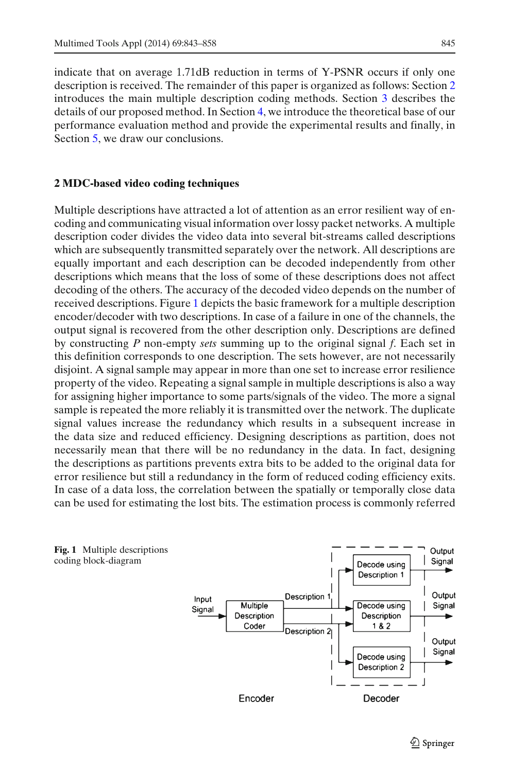indicate that on average 1.71dB reduction in terms of Y-PSNR occurs if only one description is received. The remainder of this paper is organized as follows: Section 2 introduces the main multiple description coding methods. Section [3](#page-5-0) describes the details of our proposed method. In Section [4,](#page-8-0) we introduce the theoretical base of our performance evaluation method and provide the experimental results and finally, in Section [5,](#page-12-0) we draw our conclusions.

# **2 MDC-based video coding techniques**

Multiple descriptions have attracted a lot of attention as an error resilient way of encoding and communicating visual information over lossy packet networks. A multiple description coder divides the video data into several bit-streams called descriptions which are subsequently transmitted separately over the network. All descriptions are equally important and each description can be decoded independently from other descriptions which means that the loss of some of these descriptions does not affect decoding of the others. The accuracy of the decoded video depends on the number of received descriptions. Figure 1 depicts the basic framework for a multiple description encoder/decoder with two descriptions. In case of a failure in one of the channels, the output signal is recovered from the other description only. Descriptions are defined by constructing *P* non-empty *sets* summing up to the original signal *f*. Each set in this definition corresponds to one description. The sets however, are not necessarily disjoint. A signal sample may appear in more than one set to increase error resilience property of the video. Repeating a signal sample in multiple descriptions is also a way for assigning higher importance to some parts/signals of the video. The more a signal sample is repeated the more reliably it is transmitted over the network. The duplicate signal values increase the redundancy which results in a subsequent increase in the data size and reduced efficiency. Designing descriptions as partition, does not necessarily mean that there will be no redundancy in the data. In fact, designing the descriptions as partitions prevents extra bits to be added to the original data for error resilience but still a redundancy in the form of reduced coding efficiency exits. In case of a data loss, the correlation between the spatially or temporally close data can be used for estimating the lost bits. The estimation process is commonly referred



**Fig. 1** Multiple descriptions coding block-diagram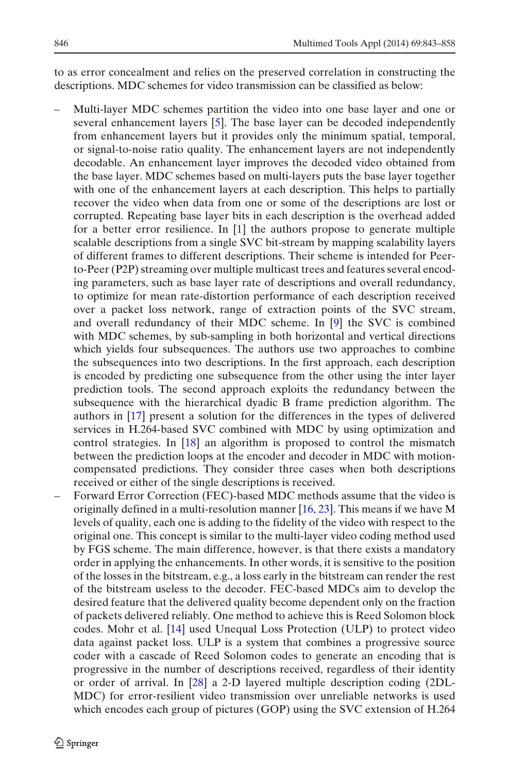to as error concealment and relies on the preserved correlation in constructing the descriptions. MDC schemes for video transmission can be classified as below:

- Multi-layer MDC schemes partition the video into one base layer and one or several enhancement layers [\[5](#page-13-0)]. The base layer can be decoded independently from enhancement layers but it provides only the minimum spatial, temporal, or signal-to-noise ratio quality. The enhancement layers are not independently decodable. An enhancement layer improves the decoded video obtained from the base layer. MDC schemes based on multi-layers puts the base layer together with one of the enhancement layers at each description. This helps to partially recover the video when data from one or some of the descriptions are lost or corrupted. Repeating base layer bits in each description is the overhead added for a better error resilience. In [\[1\]](#page-13-0) the authors propose to generate multiple scalable descriptions from a single SVC bit-stream by mapping scalability layers of different frames to different descriptions. Their scheme is intended for Peerto-Peer (P2P) streaming over multiple multicast trees and features several encoding parameters, such as base layer rate of descriptions and overall redundancy, to optimize for mean rate-distortion performance of each description received over a packet loss network, range of extraction points of the SVC stream, and overall redundancy of their MDC scheme. In [\[9](#page-13-0)] the SVC is combined with MDC schemes, by sub-sampling in both horizontal and vertical directions which yields four subsequences. The authors use two approaches to combine the subsequences into two descriptions. In the first approach, each description is encoded by predicting one subsequence from the other using the inter layer prediction tools. The second approach exploits the redundancy between the subsequence with the hierarchical dyadic B frame prediction algorithm. The authors in [\[17](#page-13-0)] present a solution for the differences in the types of delivered services in H.264-based SVC combined with MDC by using optimization and control strategies. In [\[18](#page-13-0)] an algorithm is proposed to control the mismatch between the prediction loops at the encoder and decoder in MDC with motioncompensated predictions. They consider three cases when both descriptions received or either of the single descriptions is received.
- Forward Error Correction (FEC)-based MDC methods assume that the video is originally defined in a multi-resolution manner [\[16](#page-13-0), [23](#page-14-0)]. This means if we have M levels of quality, each one is adding to the fidelity of the video with respect to the original one. This concept is similar to the multi-layer video coding method used by FGS scheme. The main difference, however, is that there exists a mandatory order in applying the enhancements. In other words, it is sensitive to the position of the losses in the bitstream, e.g., a loss early in the bitstream can render the rest of the bitstream useless to the decoder. FEC-based MDCs aim to develop the desired feature that the delivered quality become dependent only on the fraction of packets delivered reliably. One method to achieve this is Reed Solomon block codes. Mohr et al. [\[14](#page-13-0)] used Unequal Loss Protection (ULP) to protect video data against packet loss. ULP is a system that combines a progressive source coder with a cascade of Reed Solomon codes to generate an encoding that is progressive in the number of descriptions received, regardless of their identity or order of arrival. In [\[28](#page-14-0)] a 2-D layered multiple description coding (2DL-MDC) for error-resilient video transmission over unreliable networks is used which encodes each group of pictures (GOP) using the SVC extension of H.264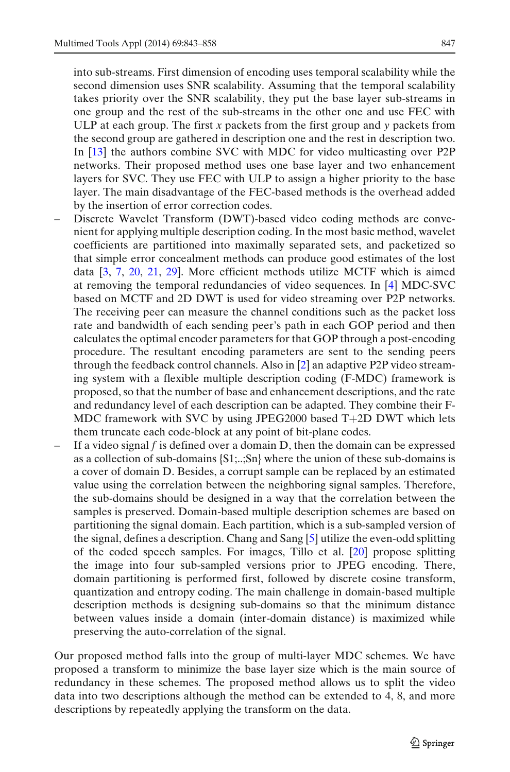into sub-streams. First dimension of encoding uses temporal scalability while the second dimension uses SNR scalability. Assuming that the temporal scalability takes priority over the SNR scalability, they put the base layer sub-streams in one group and the rest of the sub-streams in the other one and use FEC with ULP at each group. The first *x* packets from the first group and *y* packets from the second group are gathered in description one and the rest in description two. In [\[13\]](#page-13-0) the authors combine SVC with MDC for video multicasting over P2P networks. Their proposed method uses one base layer and two enhancement layers for SVC. They use FEC with ULP to assign a higher priority to the base layer. The main disadvantage of the FEC-based methods is the overhead added by the insertion of error correction codes.

- Discrete Wavelet Transform (DWT)-based video coding methods are convenient for applying multiple description coding. In the most basic method, wavelet coefficients are partitioned into maximally separated sets, and packetized so that simple error concealment methods can produce good estimates of the lost data [\[3](#page-13-0), [7,](#page-13-0) [20,](#page-13-0) [21,](#page-14-0) [29\]](#page-14-0). More efficient methods utilize MCTF which is aimed at removing the temporal redundancies of video sequences. In [\[4\]](#page-13-0) MDC-SVC based on MCTF and 2D DWT is used for video streaming over P2P networks. The receiving peer can measure the channel conditions such as the packet loss rate and bandwidth of each sending peer's path in each GOP period and then calculates the optimal encoder parameters for that GOP through a post-encoding procedure. The resultant encoding parameters are sent to the sending peers through the feedback control channels. Also in [\[2\]](#page-13-0) an adaptive P2P video streaming system with a flexible multiple description coding (F-MDC) framework is proposed, so that the number of base and enhancement descriptions, and the rate and redundancy level of each description can be adapted. They combine their F-MDC framework with SVC by using JPEG2000 based T+2D DWT which lets them truncate each code-block at any point of bit-plane codes.
- If a video signal *f* is defined over a domain D, then the domain can be expressed as a collection of sub-domains {S1;..;Sn} where the union of these sub-domains is a cover of domain D. Besides, a corrupt sample can be replaced by an estimated value using the correlation between the neighboring signal samples. Therefore, the sub-domains should be designed in a way that the correlation between the samples is preserved. Domain-based multiple description schemes are based on partitioning the signal domain. Each partition, which is a sub-sampled version of the signal, defines a description. Chang and Sang [\[5](#page-13-0)] utilize the even-odd splitting of the coded speech samples. For images, Tillo et al. [\[20\]](#page-13-0) propose splitting the image into four sub-sampled versions prior to JPEG encoding. There, domain partitioning is performed first, followed by discrete cosine transform, quantization and entropy coding. The main challenge in domain-based multiple description methods is designing sub-domains so that the minimum distance between values inside a domain (inter-domain distance) is maximized while preserving the auto-correlation of the signal.

Our proposed method falls into the group of multi-layer MDC schemes. We have proposed a transform to minimize the base layer size which is the main source of redundancy in these schemes. The proposed method allows us to split the video data into two descriptions although the method can be extended to 4, 8, and more descriptions by repeatedly applying the transform on the data.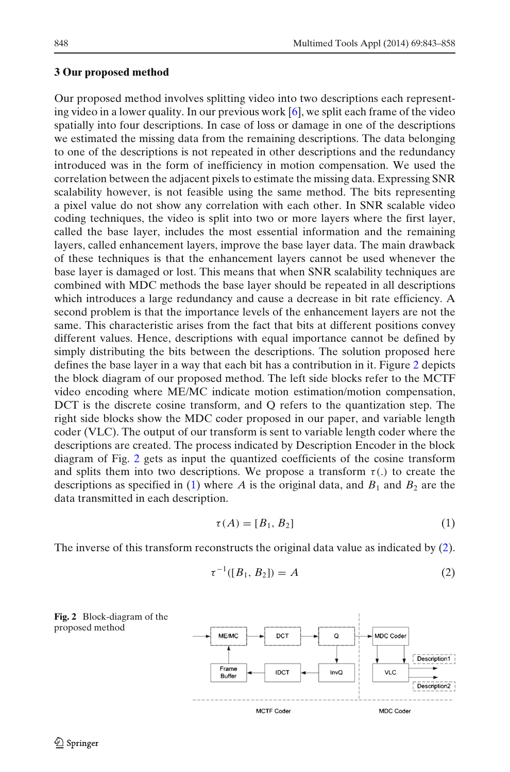#### <span id="page-5-0"></span>**3 Our proposed method**

Our proposed method involves splitting video into two descriptions each representing video in a lower quality. In our previous work [\[6](#page-13-0)], we split each frame of the video spatially into four descriptions. In case of loss or damage in one of the descriptions we estimated the missing data from the remaining descriptions. The data belonging to one of the descriptions is not repeated in other descriptions and the redundancy introduced was in the form of inefficiency in motion compensation. We used the correlation between the adjacent pixels to estimate the missing data. Expressing SNR scalability however, is not feasible using the same method. The bits representing a pixel value do not show any correlation with each other. In SNR scalable video coding techniques, the video is split into two or more layers where the first layer, called the base layer, includes the most essential information and the remaining layers, called enhancement layers, improve the base layer data. The main drawback of these techniques is that the enhancement layers cannot be used whenever the base layer is damaged or lost. This means that when SNR scalability techniques are combined with MDC methods the base layer should be repeated in all descriptions which introduces a large redundancy and cause a decrease in bit rate efficiency. A second problem is that the importance levels of the enhancement layers are not the same. This characteristic arises from the fact that bits at different positions convey different values. Hence, descriptions with equal importance cannot be defined by simply distributing the bits between the descriptions. The solution proposed here defines the base layer in a way that each bit has a contribution in it. Figure 2 depicts the block diagram of our proposed method. The left side blocks refer to the MCTF video encoding where ME/MC indicate motion estimation/motion compensation, DCT is the discrete cosine transform, and Q refers to the quantization step. The right side blocks show the MDC coder proposed in our paper, and variable length coder (VLC). The output of our transform is sent to variable length coder where the descriptions are created. The process indicated by Description Encoder in the block diagram of Fig. 2 gets as input the quantized coefficients of the cosine transform and splits them into two descriptions. We propose a transform  $\tau(.)$  to create the descriptions as specified in (1) where *A* is the original data, and  $B_1$  and  $B_2$  are the data transmitted in each description.

$$
\tau(A) = [B_1, B_2] \tag{1}
$$

The inverse of this transform reconstructs the original data value as indicated by (2).

$$
\tau^{-1}([B_1, B_2]) = A \tag{2}
$$



 $\mathcal{D}$  Springer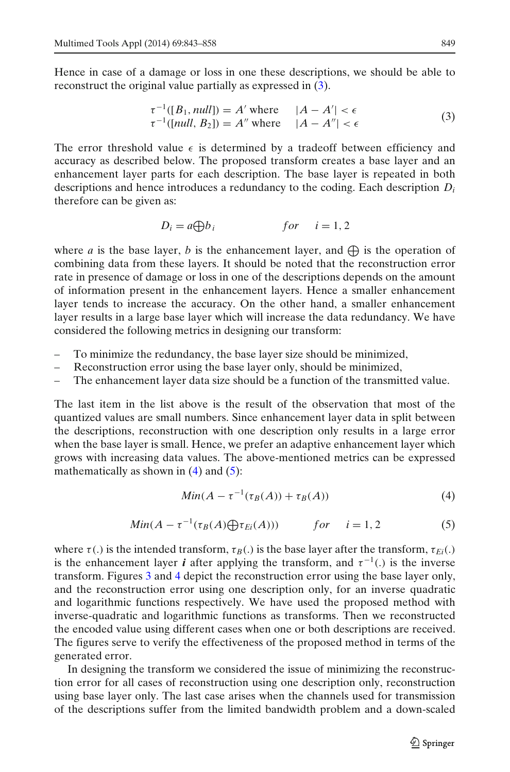Hence in case of a damage or loss in one these descriptions, we should be able to reconstruct the original value partially as expressed in (3).

$$
\tau^{-1}([B_1, null]) = A' \text{ where } |A - A'| < \epsilon
$$
  
\n
$$
\tau^{-1}([null, B_2]) = A'' \text{ where } |A - A''| < \epsilon
$$
\n(3)

The error threshold value  $\epsilon$  is determined by a tradeoff between efficiency and accuracy as described below. The proposed transform creates a base layer and an enhancement layer parts for each description. The base layer is repeated in both descriptions and hence introduces a redundancy to the coding. Each description *Di* therefore can be given as:

$$
D_i = a \bigoplus b_i \qquad \qquad \text{for} \quad i = 1, 2
$$

where *a* is the base layer, *b* is the enhancement layer, and  $\oplus$  is the operation of combining data from these layers. It should be noted that the reconstruction error rate in presence of damage or loss in one of the descriptions depends on the amount of information present in the enhancement layers. Hence a smaller enhancement layer tends to increase the accuracy. On the other hand, a smaller enhancement layer results in a large base layer which will increase the data redundancy. We have considered the following metrics in designing our transform:

- To minimize the redundancy, the base layer size should be minimized,
- Reconstruction error using the base layer only, should be minimized,
- The enhancement layer data size should be a function of the transmitted value.

The last item in the list above is the result of the observation that most of the quantized values are small numbers. Since enhancement layer data in split between the descriptions, reconstruction with one description only results in a large error when the base layer is small. Hence, we prefer an adaptive enhancement layer which grows with increasing data values. The above-mentioned metrics can be expressed mathematically as shown in  $(4)$  and  $(5)$ :

$$
Min(A - \tau^{-1}(\tau_B(A)) + \tau_B(A))
$$
\n(4)

$$
Min(A - \tau^{-1}(\tau_B(A) \bigoplus \tau_{E_i}(A))) \qquad \text{for} \quad i = 1, 2 \tag{5}
$$

where  $\tau(.)$  is the intended transform,  $\tau_B(.)$  is the base layer after the transform,  $\tau_{Ei}(.)$ is the enhancement layer *i* after applying the transform, and  $\tau^{-1}$ (.) is the inverse transform. Figures [3](#page-7-0) and [4](#page-7-0) depict the reconstruction error using the base layer only, and the reconstruction error using one description only, for an inverse quadratic and logarithmic functions respectively. We have used the proposed method with inverse-quadratic and logarithmic functions as transforms. Then we reconstructed the encoded value using different cases when one or both descriptions are received. The figures serve to verify the effectiveness of the proposed method in terms of the generated error.

In designing the transform we considered the issue of minimizing the reconstruction error for all cases of reconstruction using one description only, reconstruction using base layer only. The last case arises when the channels used for transmission of the descriptions suffer from the limited bandwidth problem and a down-scaled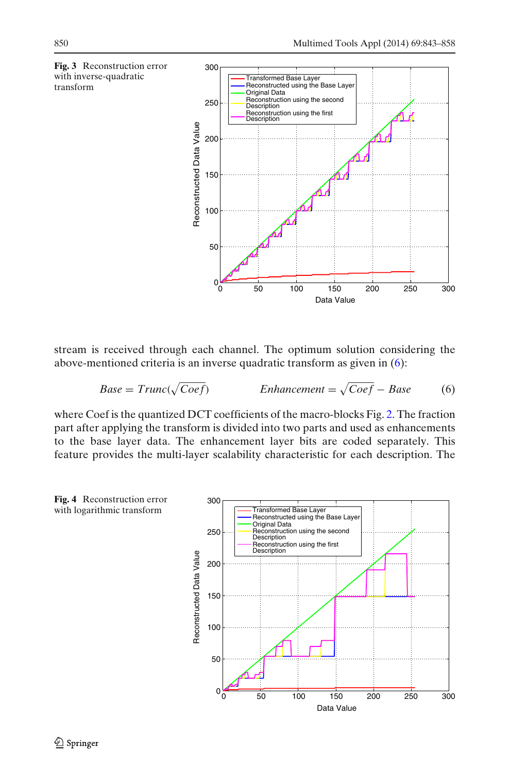<span id="page-7-0"></span>

stream is received through each channel. The optimum solution considering the above-mentioned criteria is an inverse quadratic transform as given in (6):

$$
Base = Trunc(\sqrt{Coef}) \qquad Enhancement = \sqrt{Coef - Base} \qquad (6)
$$

where Coef is the quantized DCT coefficients of the macro-blocks Fig. [2.](#page-5-0) The fraction part after applying the transform is divided into two parts and used as enhancements to the base layer data. The enhancement layer bits are coded separately. This feature provides the multi-layer scalability characteristic for each description. The

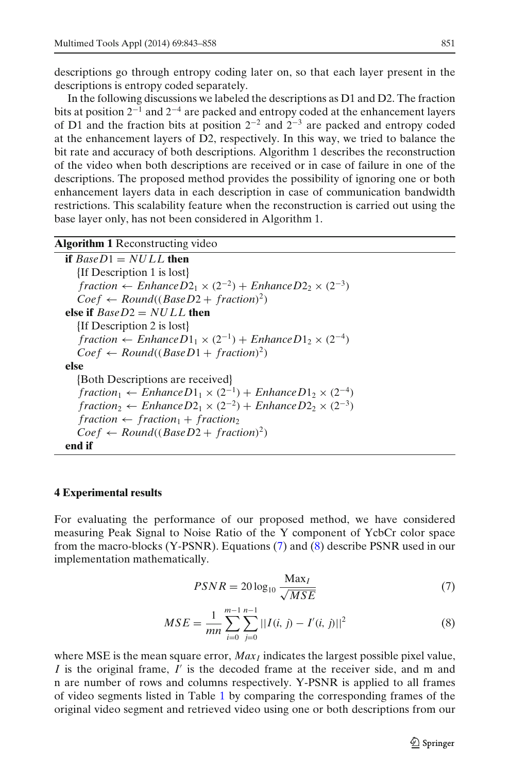<span id="page-8-0"></span>descriptions go through entropy coding later on, so that each layer present in the descriptions is entropy coded separately.

In the following discussions we labeled the descriptions as D1 and D2. The fraction bits at position  $2^{-1}$  and  $2^{-4}$  are packed and entropy coded at the enhancement layers of D1 and the fraction bits at position  $2^{-2}$  and  $2^{-3}$  are packed and entropy coded at the enhancement layers of D2, respectively. In this way, we tried to balance the bit rate and accuracy of both descriptions. Algorithm 1 describes the reconstruction of the video when both descriptions are received or in case of failure in one of the descriptions. The proposed method provides the possibility of ignoring one or both enhancement layers data in each description in case of communication bandwidth restrictions. This scalability feature when the reconstruction is carried out using the base layer only, has not been considered in Algorithm 1.

#### **Algorithm 1** Reconstructing video

**if**  $BaseD1 = NULL$  **then** {If Description 1 is lost} *fraction* ← *Enhance*  $D2_1 \times (2^{-2})$  + *Enhance*  $D2_2 \times (2^{-3})$  $Coef \leftarrow Round((BaseD2 + fraction)^2)$ **else if** *BaseD*2 = *NU LL* **then** {If Description 2 is lost}  ${\text fraction} \leftarrow {\text frahance}\, D1_1 \times (2^{-1}) + {\text frahance}\, D1_2 \times (2^{-4})$  $Coef \leftarrow Round((BaseD1 + fraction)^2)$ **else** {Both Descriptions are received}  $fraction<sub>1</sub> \leftarrow{} EnhanceD1<sub>1</sub> \times (2<sup>-1</sup>) + EnhanceD1<sub>2</sub> \times (2<sup>-4</sup>)$ *fraction*<sub>2</sub> ← *Enhance*  $D2_1 \times (2^{-2})$  + *Enhance*  $D2_2 \times (2^{-3})$  $fraction \leftarrow fraction_1 + fraction_2$  $Coef \leftarrow Round((BaseD2 + fraction)^2)$ **end if**

# **4 Experimental results**

For evaluating the performance of our proposed method, we have considered measuring Peak Signal to Noise Ratio of the Y component of YcbCr color space from the macro-blocks (Y-PSNR). Equations (7) and (8) describe PSNR used in our implementation mathematically.

$$
PSNR = 20 \log_{10} \frac{\text{Max}_I}{\sqrt{MSE}} \tag{7}
$$

$$
MSE = \frac{1}{mn} \sum_{i=0}^{m-1} \sum_{j=0}^{n-1} ||I(i, j) - I'(i, j)||^2
$$
 (8)

where MSE is the mean square error,  $Max<sub>I</sub>$  indicates the largest possible pixel value, *I* is the original frame, *I'* is the decoded frame at the receiver side, and m and n are number of rows and columns respectively. Y-PSNR is applied to all frames of video segments listed in Table [1](#page-9-0) by comparing the corresponding frames of the original video segment and retrieved video using one or both descriptions from our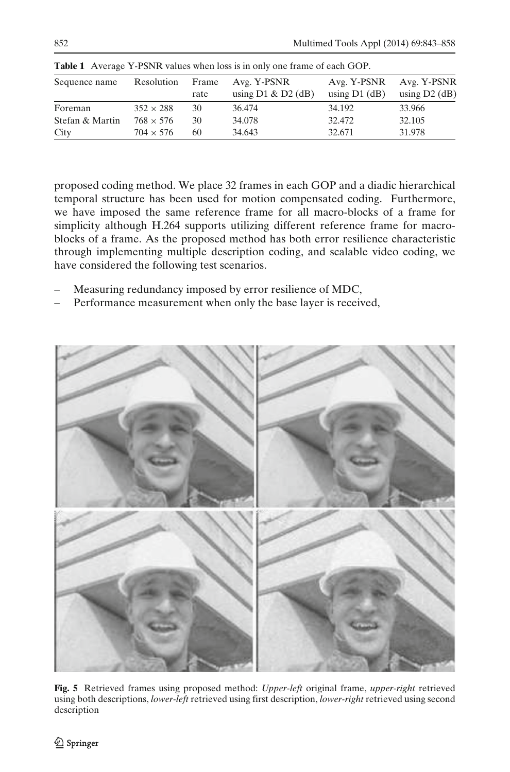| Sequence name   | Resolution       | Frame<br>rate | Avg. Y-PSNR<br>using $D1 & D2$ (dB) | Avg. Y-PSNR<br>using $D1$ (dB) | Avg. Y-PSNR<br>using $D2$ (dB) |
|-----------------|------------------|---------------|-------------------------------------|--------------------------------|--------------------------------|
| Foreman         | $352 \times 288$ | 30            | 36.474                              | 34.192                         | 33.966                         |
| Stefan & Martin | $768 \times 576$ | 30            | 34.078                              | 32.472                         | 32.105                         |
| City            | $704 \times 576$ | 60            | 34.643                              | 32.671                         | 31.978                         |

<span id="page-9-0"></span>**Table 1** Average Y-PSNR values when loss is in only one frame of each GOP.

proposed coding method. We place 32 frames in each GOP and a diadic hierarchical temporal structure has been used for motion compensated coding. Furthermore, we have imposed the same reference frame for all macro-blocks of a frame for simplicity although H.264 supports utilizing different reference frame for macroblocks of a frame. As the proposed method has both error resilience characteristic through implementing multiple description coding, and scalable video coding, we have considered the following test scenarios.

- Measuring redundancy imposed by error resilience of MDC,
- Performance measurement when only the base layer is received,



**Fig. 5** Retrieved frames using proposed method: *Upper-left* original frame, *upper-right* retrieved using both descriptions, *lower-left* retrieved using first description, *lower-right* retrieved using second description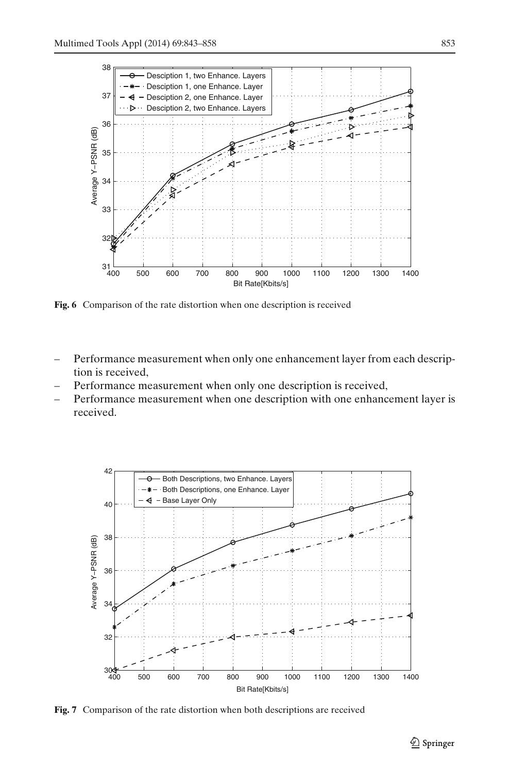<span id="page-10-0"></span>

**Fig. 6** Comparison of the rate distortion when one description is received

- Performance measurement when only one enhancement layer from each description is received,
- Performance measurement when only one description is received,
- Performance measurement when one description with one enhancement layer is received.



**Fig. 7** Comparison of the rate distortion when both descriptions are received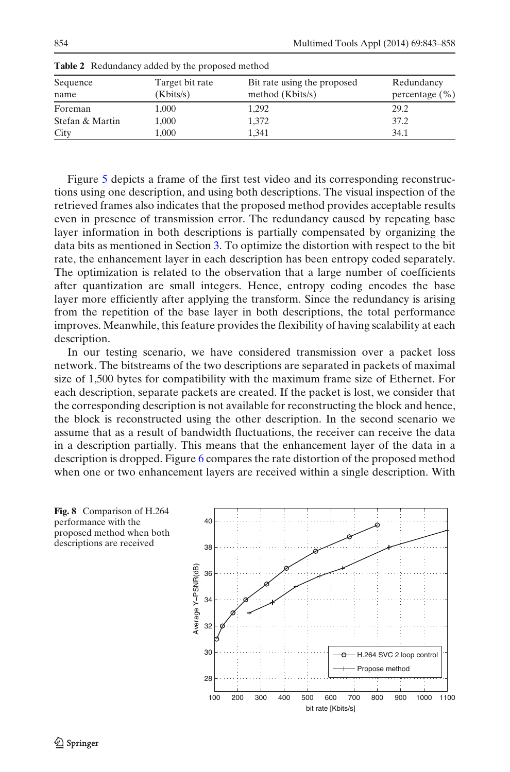| Sequence        | Target bit rate | Bit rate using the proposed | Redundancy         |
|-----------------|-----------------|-----------------------------|--------------------|
| name            | (Kbits/s)       | method (Kbits/s)            | percentage $(\% )$ |
| Foreman         | 1,000           | 1,292                       | 29.2               |
| Stefan & Martin | 1,000           | 1.372                       | 37.2               |
| City            | 1.000           | 1.341                       | 34.1               |

<span id="page-11-0"></span>**Table 2** Redundancy added by the proposed method

Figure [5](#page-9-0) depicts a frame of the first test video and its corresponding reconstructions using one description, and using both descriptions. The visual inspection of the retrieved frames also indicates that the proposed method provides acceptable results even in presence of transmission error. The redundancy caused by repeating base layer information in both descriptions is partially compensated by organizing the data bits as mentioned in Section [3.](#page-5-0) To optimize the distortion with respect to the bit rate, the enhancement layer in each description has been entropy coded separately. The optimization is related to the observation that a large number of coefficients after quantization are small integers. Hence, entropy coding encodes the base layer more efficiently after applying the transform. Since the redundancy is arising from the repetition of the base layer in both descriptions, the total performance improves. Meanwhile, this feature provides the flexibility of having scalability at each description.

In our testing scenario, we have considered transmission over a packet loss network. The bitstreams of the two descriptions are separated in packets of maximal size of 1,500 bytes for compatibility with the maximum frame size of Ethernet. For each description, separate packets are created. If the packet is lost, we consider that the corresponding description is not available for reconstructing the block and hence, the block is reconstructed using the other description. In the second scenario we assume that as a result of bandwidth fluctuations, the receiver can receive the data in a description partially. This means that the enhancement layer of the data in a description is dropped. Figure [6](#page-10-0) compares the rate distortion of the proposed method when one or two enhancement layers are received within a single description. With

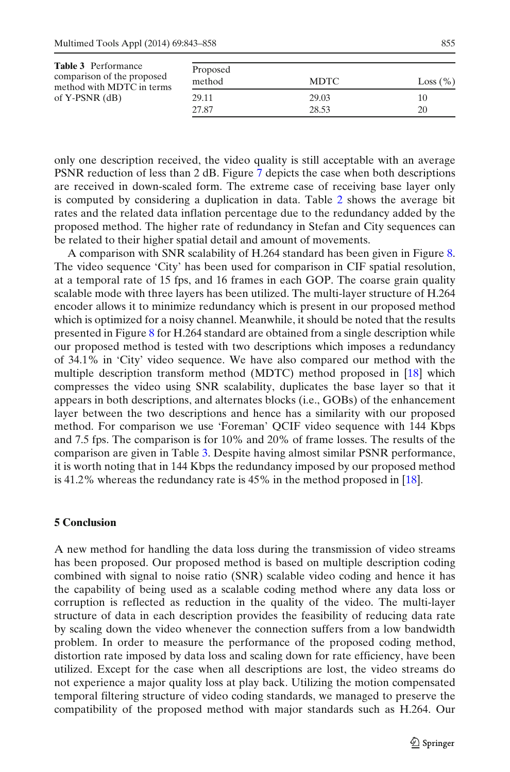<span id="page-12-0"></span>

| <b>Table 3</b> Performance<br>comparison of the proposed<br>method with MDTC in terms | Proposed<br>method | <b>MDTC</b> | Loss (%) |
|---------------------------------------------------------------------------------------|--------------------|-------------|----------|
| of Y-PSNR $(dB)$                                                                      | 29.11              | 29.03       | 10       |
|                                                                                       | 27.87              | 28.53       | 20       |

only one description received, the video quality is still acceptable with an average PSNR reduction of less than 2 dB. Figure [7](#page-10-0) depicts the case when both descriptions are received in down-scaled form. The extreme case of receiving base layer only is computed by considering a duplication in data. Table [2](#page-11-0) shows the average bit rates and the related data inflation percentage due to the redundancy added by the proposed method. The higher rate of redundancy in Stefan and City sequences can be related to their higher spatial detail and amount of movements.

A comparison with SNR scalability of H.264 standard has been given in Figure [8.](#page-11-0) The video sequence 'City' has been used for comparison in CIF spatial resolution, at a temporal rate of 15 fps, and 16 frames in each GOP. The coarse grain quality scalable mode with three layers has been utilized. The multi-layer structure of H.264 encoder allows it to minimize redundancy which is present in our proposed method which is optimized for a noisy channel. Meanwhile, it should be noted that the results presented in Figure [8](#page-11-0) for H.264 standard are obtained from a single description while our proposed method is tested with two descriptions which imposes a redundancy of 34.1% in 'City' video sequence. We have also compared our method with the multiple description transform method (MDTC) method proposed in [\[18\]](#page-13-0) which compresses the video using SNR scalability, duplicates the base layer so that it appears in both descriptions, and alternates blocks (i.e., GOBs) of the enhancement layer between the two descriptions and hence has a similarity with our proposed method. For comparison we use 'Foreman' QCIF video sequence with 144 Kbps and 7.5 fps. The comparison is for 10% and 20% of frame losses. The results of the comparison are given in Table 3. Despite having almost similar PSNR performance, it is worth noting that in 144 Kbps the redundancy imposed by our proposed method is 41.2% whereas the redundancy rate is 45% in the method proposed in [\[18](#page-13-0)].

## **5 Conclusion**

A new method for handling the data loss during the transmission of video streams has been proposed. Our proposed method is based on multiple description coding combined with signal to noise ratio (SNR) scalable video coding and hence it has the capability of being used as a scalable coding method where any data loss or corruption is reflected as reduction in the quality of the video. The multi-layer structure of data in each description provides the feasibility of reducing data rate by scaling down the video whenever the connection suffers from a low bandwidth problem. In order to measure the performance of the proposed coding method, distortion rate imposed by data loss and scaling down for rate efficiency, have been utilized. Except for the case when all descriptions are lost, the video streams do not experience a major quality loss at play back. Utilizing the motion compensated temporal filtering structure of video coding standards, we managed to preserve the compatibility of the proposed method with major standards such as H.264. Our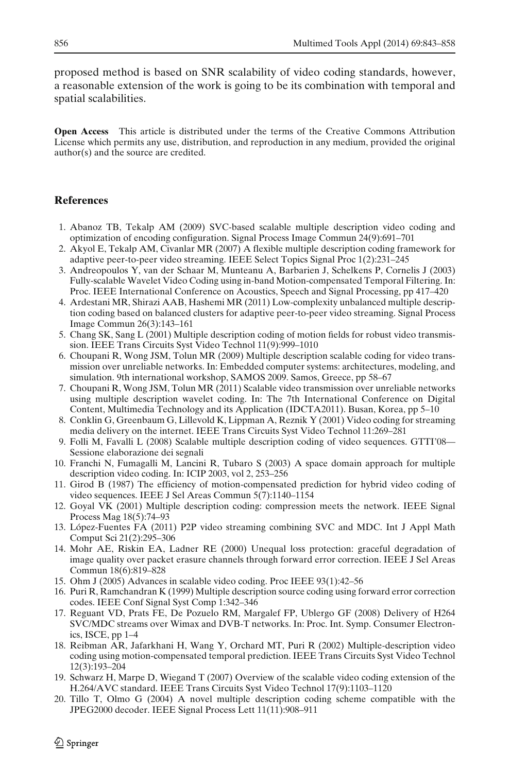<span id="page-13-0"></span>proposed method is based on SNR scalability of video coding standards, however, a reasonable extension of the work is going to be its combination with temporal and spatial scalabilities.

**Open Access** This article is distributed under the terms of the Creative Commons Attribution License which permits any use, distribution, and reproduction in any medium, provided the original author(s) and the source are credited.

# **References**

- 1. Abanoz TB, Tekalp AM (2009) SVC-based scalable multiple description video coding and optimization of encoding configuration. Signal Process Image Commun 24(9):691–701
- 2. Akyol E, Tekalp AM, Civanlar MR (2007) A flexible multiple description coding framework for adaptive peer-to-peer video streaming. IEEE Select Topics Signal Proc 1(2):231–245
- 3. Andreopoulos Y, van der Schaar M, Munteanu A, Barbarien J, Schelkens P, Cornelis J (2003) Fully-scalable Wavelet Video Coding using in-band Motion-compensated Temporal Filtering. In: Proc. IEEE International Conference on Acoustics, Speech and Signal Processing, pp 417–420
- 4. Ardestani MR, Shirazi AAB, Hashemi MR (2011) Low-complexity unbalanced multiple description coding based on balanced clusters for adaptive peer-to-peer video streaming. Signal Process Image Commun 26(3):143–161
- 5. Chang SK, Sang L (2001) Multiple description coding of motion fields for robust video transmission. IEEE Trans Circuits Syst Video Technol 11(9):999–1010
- 6. Choupani R, Wong JSM, Tolun MR (2009) Multiple description scalable coding for video transmission over unreliable networks. In: Embedded computer systems: architectures, modeling, and simulation. 9th international workshop, SAMOS 2009. Samos, Greece, pp 58–67
- 7. Choupani R, Wong JSM, Tolun MR (2011) Scalable video transmission over unreliable networks using multiple description wavelet coding. In: The 7th International Conference on Digital Content, Multimedia Technology and its Application (IDCTA2011). Busan, Korea, pp 5–10
- 8. Conklin G, Greenbaum G, Lillevold K, Lippman A, Reznik Y (2001) Video coding for streaming media delivery on the internet. IEEE Trans Circuits Syst Video Technol 11:269–281
- 9. Folli M, Favalli L (2008) Scalable multiple description coding of video sequences. GTTI'08— Sessione elaborazione dei segnali
- 10. Franchi N, Fumagalli M, Lancini R, Tubaro S (2003) A space domain approach for multiple description video coding. In: ICIP 2003, vol 2, 253–256
- 11. Girod B (1987) The efficiency of motion-compensated prediction for hybrid video coding of video sequences. IEEE J Sel Areas Commun 5(7):1140–1154
- 12. Goyal VK (2001) Multiple description coding: compression meets the network. IEEE Signal Process Mag 18(5):74–93
- 13. López-Fuentes FA (2011) P2P video streaming combining SVC and MDC. Int J Appl Math Comput Sci 21(2):295–306
- 14. Mohr AE, Riskin EA, Ladner RE (2000) Unequal loss protection: graceful degradation of image quality over packet erasure channels through forward error correction. IEEE J Sel Areas Commun 18(6):819–828
- 15. Ohm J (2005) Advances in scalable video coding. Proc IEEE 93(1):42–56
- 16. Puri R, Ramchandran K (1999) Multiple description source coding using forward error correction codes. IEEE Conf Signal Syst Comp 1:342–346
- 17. Reguant VD, Prats FE, De Pozuelo RM, Margalef FP, Ublergo GF (2008) Delivery of H264 SVC/MDC streams over Wimax and DVB-T networks. In: Proc. Int. Symp. Consumer Electronics, ISCE, pp 1–4
- 18. Reibman AR, Jafarkhani H, Wang Y, Orchard MT, Puri R (2002) Multiple-description video coding using motion-compensated temporal prediction. IEEE Trans Circuits Syst Video Technol 12(3):193–204
- 19. Schwarz H, Marpe D, Wiegand T (2007) Overview of the scalable video coding extension of the H.264/AVC standard. IEEE Trans Circuits Syst Video Technol 17(9):1103–1120
- 20. Tillo T, Olmo G (2004) A novel multiple description coding scheme compatible with the JPEG2000 decoder. IEEE Signal Process Lett 11(11):908–911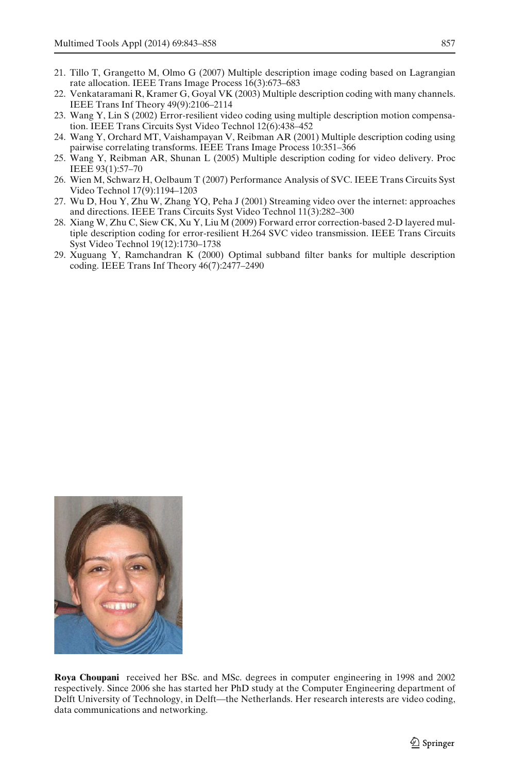- <span id="page-14-0"></span>21. Tillo T, Grangetto M, Olmo G (2007) Multiple description image coding based on Lagrangian rate allocation. IEEE Trans Image Process 16(3):673–683
- 22. Venkataramani R, Kramer G, Goyal VK (2003) Multiple description coding with many channels. IEEE Trans Inf Theory 49(9):2106–2114
- 23. Wang Y, Lin S (2002) Error-resilient video coding using multiple description motion compensation. IEEE Trans Circuits Syst Video Technol 12(6):438–452
- 24. Wang Y, Orchard MT, Vaishampayan V, Reibman AR (2001) Multiple description coding using pairwise correlating transforms. IEEE Trans Image Process 10:351–366
- 25. Wang Y, Reibman AR, Shunan L (2005) Multiple description coding for video delivery. Proc IEEE 93(1):57–70
- 26. Wien M, Schwarz H, Oelbaum T (2007) Performance Analysis of SVC. IEEE Trans Circuits Syst Video Technol 17(9):1194–1203
- 27. Wu D, Hou Y, Zhu W, Zhang YQ, Peha J (2001) Streaming video over the internet: approaches and directions. IEEE Trans Circuits Syst Video Technol 11(3):282–300
- 28. Xiang W, Zhu C, Siew CK, Xu Y, Liu M (2009) Forward error correction-based 2-D layered multiple description coding for error-resilient H.264 SVC video transmission. IEEE Trans Circuits Syst Video Technol 19(12):1730–1738
- 29. Xuguang Y, Ramchandran K (2000) Optimal subband filter banks for multiple description coding. IEEE Trans Inf Theory 46(7):2477–2490



**Roya Choupani** received her BSc. and MSc. degrees in computer engineering in 1998 and 2002 respectively. Since 2006 she has started her PhD study at the Computer Engineering department of Delft University of Technology, in Delft—the Netherlands. Her research interests are video coding, data communications and networking.